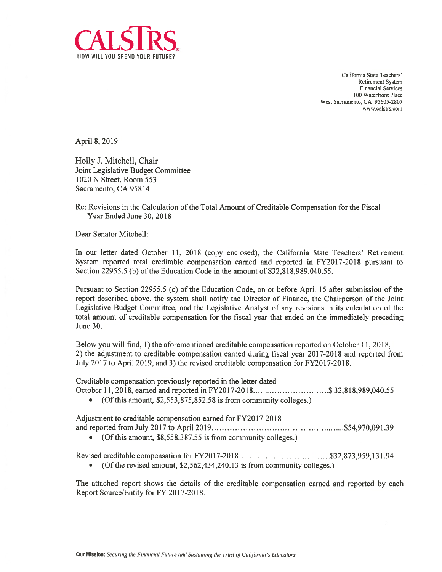

California State Teachers' Retirement System Financial Services 100 Waterfront Place West Sacramento, CA 95605-2807 www.calstrs.com

April 8, 2019

Holly I. Mitchell, Chair Joint Legislative Budget Committee 1020 N Street, Room 553 Sacramento, CA 95814

Re: Revisions in the Calculation of the Total Amount of Creditable Compensation for the Fiscal Year Ended June 30, 2018

Dear Senator Mitchell:

In our letter dated October 11, 2018 (copy enclosed), the California State Teachers' Retirement System reported total creditable compensation earned and reported in FY2017-2018 pursuant to Section 22955.5 (b) of the Education Code in the amount of \$32,818,989,040.55.

Pursuant to Section 22955.5(c) of the Education Code, on or before April 15 after submission of the report described above, the system shall notify the Director of Finance, the Chairperson of the Joint Legislative Budget Committee, and the Legislative Analyst of any revisions in its calculation of the total amount of creditable compensation for the fiscal year that ended on the immediately preceding June 30.

Below you will find, 1) the aforementioned creditable compensation reported on October 11, 2018, 2) the adjustment to creditable compensation earned during fiscal year 2017-2018 and reported from July 2017 to April 2019, and 3) the revised creditable compensation for FY2017-201\$.

Creditable compensation previously reported in the letter dated

October 11, 2018, earned and reported in FY2017-2018.............................\$ 32,818,989,040.55

• (Of this amount, \$2,553,875,852.58 is from community colleges.)

Adjustment to creditable compensation earned for FY20 17-2018 and reported from July 2017 to April 2019 \$54,970,091.39

• (Of this amount, \$8,558,387.55 is from community colleges.)

Revised creditable compensation for FY20 17-2018 \$32,873,959,131.94

• (Of the revised amount, \$2,562,434,240.13 is from community colleges.)

The attached repor<sup>t</sup> shows the details of the creditable compensation earned and reported by each Report Source/Entity for FY 2017-2018.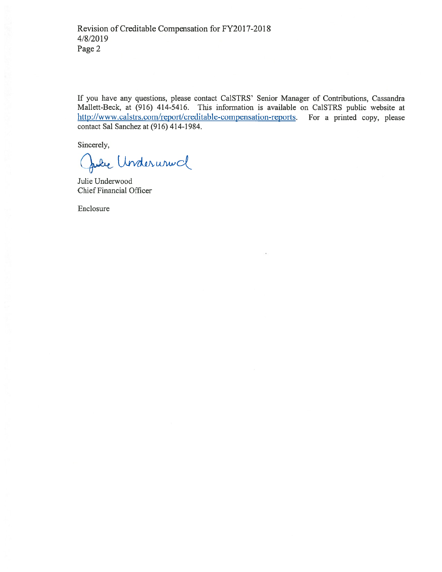If you have any questions, please contact Ca1STRS' Senior Manager of Contributions, Cassandra Mallett-Beck, at (916) 414-5416. This information is available on Ca1STRS public website at http://www.calstrs.com/report/creditable-compensation-reports. For a printed copy, please contact Sal Sanchez at (916) 414-1984.

Sincerely,

Julie Underunnel

Julie Underwood Chief Financial Officer

Enclosure